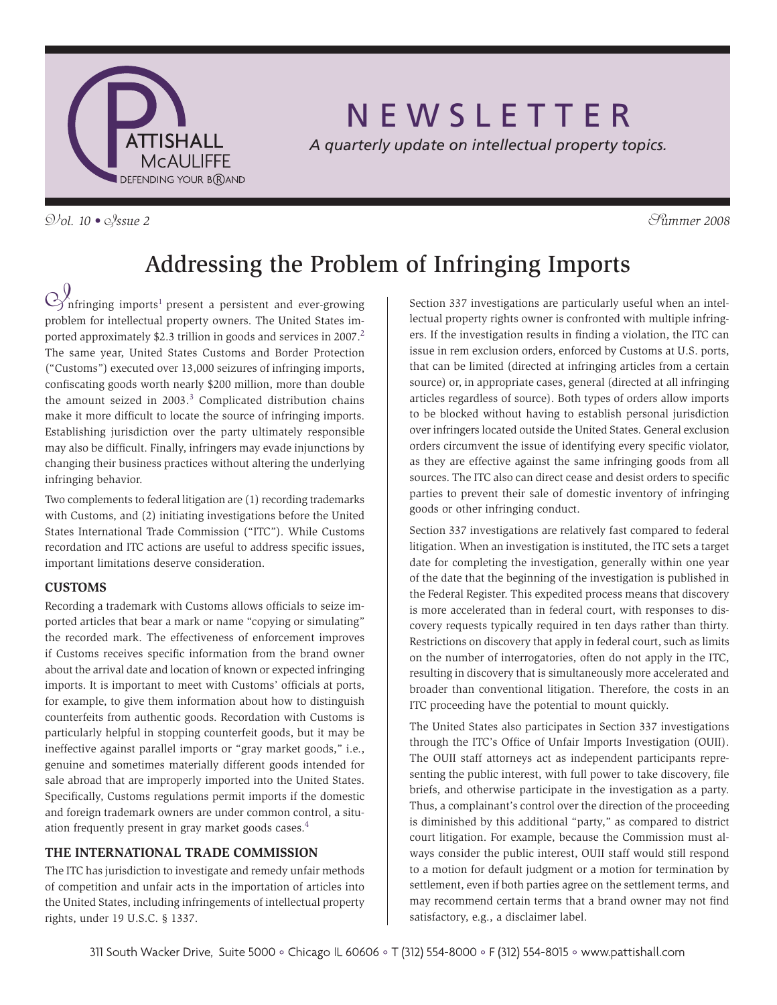

# N E W S L E T T E R

*A quarterly update on intellectual property topics.*

V*ol. 10 •* I*ssue 2* S*ummer 2008*

# Addressing the Problem of Infringing Imports

 $\bigotimes$  nfringing imports<sup>1</sup> present a persistent and ever-growing problem for intellectual property owners. The United States imported approximately \$2.3 trillion in goods and services in 2007.<sup>2</sup> The same year, United States Customs and Border Protection ("Customs") executed over 13,000 seizures of infringing imports, confiscating goods worth nearly \$200 million, more than double the amount seized in  $2003.<sup>3</sup>$  Complicated distribution chains make it more difficult to locate the source of infringing imports. Establishing jurisdiction over the party ultimately responsible may also be difficult. Finally, infringers may evade injunctions by changing their business practices without altering the underlying infringing behavior.

Two complements to federal litigation are (1) recording trademarks with Customs, and (2) initiating investigations before the United States International Trade Commission ("ITC"). While Customs recordation and ITC actions are useful to address specific issues, important limitations deserve consideration.

## **Customs**

Recording a trademark with Customs allows officials to seize imported articles that bear a mark or name "copying or simulating" the recorded mark. The effectiveness of enforcement improves if Customs receives specific information from the brand owner about the arrival date and location of known or expected infringing imports. It is important to meet with Customs' officials at ports, for example, to give them information about how to distinguish counterfeits from authentic goods. Recordation with Customs is particularly helpful in stopping counterfeit goods, but it may be ineffective against parallel imports or "gray market goods," i.e., genuine and sometimes materially different goods intended for sale abroad that are improperly imported into the United States. Specifically, Customs regulations permit imports if the domestic and foreign trademark owners are under common control, a situation frequently present in gray market goods cases.<sup>4</sup>

## **The International Trade Commission**

The ITC has jurisdiction to investigate and remedy unfair methods of competition and unfair acts in the importation of articles into the United States, including infringements of intellectual property rights, under 19 U.S.C. § 1337.

Section 337 investigations are particularly useful when an intellectual property rights owner is confronted with multiple infringers. If the investigation results in finding a violation, the ITC can issue in rem exclusion orders, enforced by Customs at U.S. ports, that can be limited (directed at infringing articles from a certain source) or, in appropriate cases, general (directed at all infringing articles regardless of source). Both types of orders allow imports to be blocked without having to establish personal jurisdiction over infringers located outside the United States. General exclusion orders circumvent the issue of identifying every specific violator, as they are effective against the same infringing goods from all sources. The ITC also can direct cease and desist orders to specific parties to prevent their sale of domestic inventory of infringing goods or other infringing conduct.

Section 337 investigations are relatively fast compared to federal litigation. When an investigation is instituted, the ITC sets a target date for completing the investigation, generally within one year of the date that the beginning of the investigation is published in the Federal Register. This expedited process means that discovery is more accelerated than in federal court, with responses to discovery requests typically required in ten days rather than thirty. Restrictions on discovery that apply in federal court, such as limits on the number of interrogatories, often do not apply in the ITC, resulting in discovery that is simultaneously more accelerated and broader than conventional litigation. Therefore, the costs in an ITC proceeding have the potential to mount quickly.

The United States also participates in Section 337 investigations through the ITC's Office of Unfair Imports Investigation (OUII). The OUII staff attorneys act as independent participants representing the public interest, with full power to take discovery, file briefs, and otherwise participate in the investigation as a party. Thus, a complainant's control over the direction of the proceeding is diminished by this additional "party," as compared to district court litigation. For example, because the Commission must always consider the public interest, OUII staff would still respond to a motion for default judgment or a motion for termination by settlement, even if both parties agree on the settlement terms, and may recommend certain terms that a brand owner may not find satisfactory, e.g., a disclaimer label.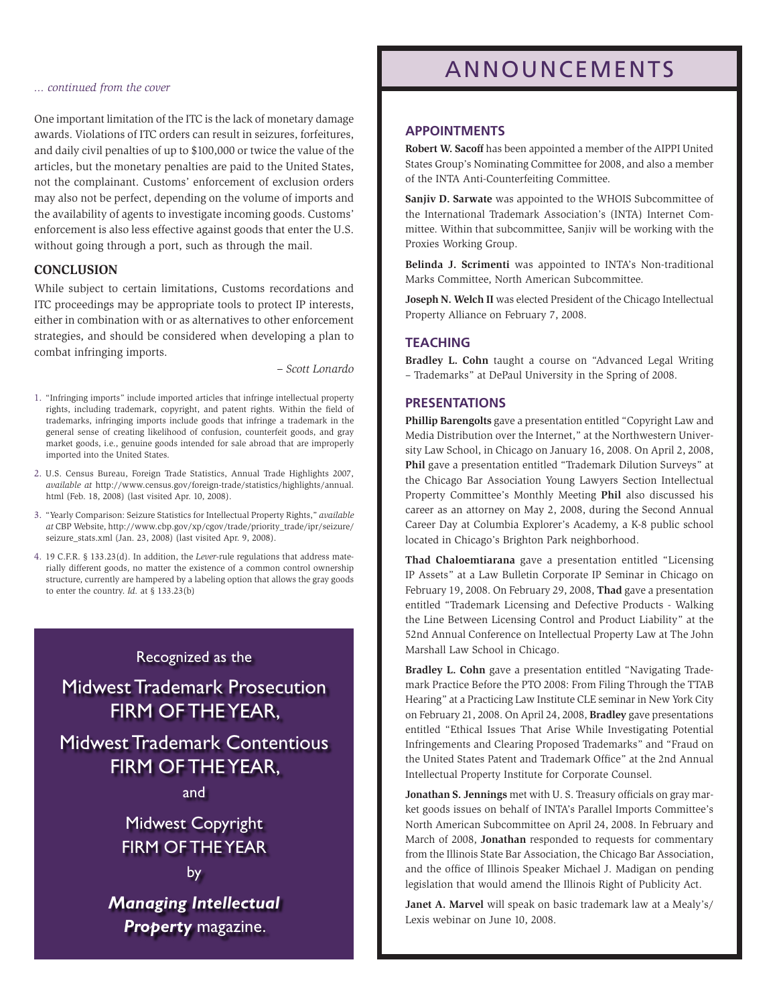#### *... continued from the cover*

One important limitation of the ITC is the lack of monetary damage awards. Violations of ITC orders can result in seizures, forfeitures, and daily civil penalties of up to \$100,000 or twice the value of the articles, but the monetary penalties are paid to the United States, not the complainant. Customs' enforcement of exclusion orders may also not be perfect, depending on the volume of imports and the availability of agents to investigate incoming goods. Customs' enforcement is also less effective against goods that enter the U.S. without going through a port, such as through the mail.

### **Conclusion**

While subject to certain limitations, Customs recordations and ITC proceedings may be appropriate tools to protect IP interests, either in combination with or as alternatives to other enforcement strategies, and should be considered when developing a plan to combat infringing imports.

*– Scott Lonardo*

- 1. "Infringing imports" include imported articles that infringe intellectual property rights, including trademark, copyright, and patent rights. Within the field of trademarks, infringing imports include goods that infringe a trademark in the general sense of creating likelihood of confusion, counterfeit goods, and gray market goods, i.e., genuine goods intended for sale abroad that are improperly imported into the United States.
- 2. U.S. Census Bureau, Foreign Trade Statistics, Annual Trade Highlights 2007, *available at* http://www.census.gov/foreign-trade/statistics/highlights/annual. html (Feb. 18, 2008) (last visited Apr. 10, 2008).
- 3. "Yearly Comparison: Seizure Statistics for Intellectual Property Rights," *available at* CBP Website, http://www.cbp.gov/xp/cgov/trade/priority\_trade/ipr/seizure/ seizure\_stats.xml (Jan. 23, 2008) (last visited Apr. 9, 2008).
- 4. 19 C.F.R. § 133.23(d). In addition, the *Lever*-rule regulations that address materially different goods, no matter the existence of a common control ownership structure, currently are hampered by a labeling option that allows the gray goods to enter the country. *Id.* at § 133.23(b)

### Recognized as the

Midwest Trademark Prosecution FIRM OF THE YEAR.

Midwest Trademark Contentious Firm of the Year,

and

Midwest Copyright Firm of the Year

*Managing Intellectual Property* magazine.

## Announcements

### **APPOINTMENTS**

**Robert W. Sacoff** has been appointed a member of the AIPPI United States Group's Nominating Committee for 2008, and also a member of the INTA Anti-Counterfeiting Committee.

**Sanjiv D. Sarwate** was appointed to the WHOIS Subcommittee of the International Trademark Association's (INTA) Internet Committee. Within that subcommittee, Sanjiv will be working with the Proxies Working Group.

**Belinda J. Scrimenti** was appointed to INTA's Non-traditional Marks Committee, North American Subcommittee.

**Joseph N. Welch II** was elected President of the Chicago Intellectual Property Alliance on February 7, 2008.

### **TEACHING**

**Bradley L. Cohn** taught a course on "Advanced Legal Writing – Trademarks" at DePaul University in the Spring of 2008.

#### **PRESENTATIONS**

**Phillip Barengolts** gave a presentation entitled "Copyright Law and Media Distribution over the Internet," at the Northwestern University Law School, in Chicago on January 16, 2008. On April 2, 2008, **Phil** gave a presentation entitled "Trademark Dilution Surveys" at the Chicago Bar Association Young Lawyers Section Intellectual Property Committee's Monthly Meeting **Phil** also discussed his career as an attorney on May 2, 2008, during the Second Annual Career Day at Columbia Explorer's Academy, a K-8 public school located in Chicago's Brighton Park neighborhood.

**Thad Chaloemtiarana** gave a presentation entitled "Licensing IP Assets" at a Law Bulletin Corporate IP Seminar in Chicago on February 19, 2008. On February 29, 2008, **Thad** gave a presentation entitled "Trademark Licensing and Defective Products - Walking the Line Between Licensing Control and Product Liability" at the 52nd Annual Conference on Intellectual Property Law at The John Marshall Law School in Chicago.

**Bradley L. Cohn** gave a presentation entitled "Navigating Trademark Practice Before the PTO 2008: From Filing Through the TTAB Hearing" at a Practicing Law Institute CLE seminar in New York City on February 21, 2008. On April 24, 2008, **Bradley** gave presentations entitled "Ethical Issues That Arise While Investigating Potential Infringements and Clearing Proposed Trademarks" and "Fraud on the United States Patent and Trademark Office" at the 2nd Annual Intellectual Property Institute for Corporate Counsel.

**Jonathan S. Jennings** met with U. S. Treasury officials on gray market goods issues on behalf of INTA's Parallel Imports Committee's North American Subcommittee on April 24, 2008. In February and March of 2008, **Jonathan** responded to requests for commentary from the Illinois State Bar Association, the Chicago Bar Association, and the office of Illinois Speaker Michael J. Madigan on pending legislation that would amend the Illinois Right of Publicity Act.

**Janet A. Marvel** will speak on basic trademark law at a Mealy's/ Lexis webinar on June 10, 2008.